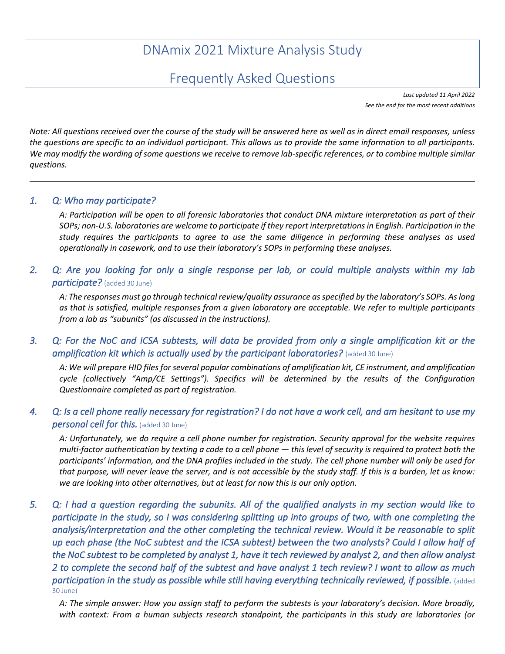# DNAmix 2021 Mixture Analysis Study

## Frequently Asked Questions

*Last updated 11 April 2022 See the end for the most recent additions*

*Note: All questions received over the course of the study will be answered here as well as in direct email responses, unless the questions are specific to an individual participant. This allows us to provide the same information to all participants. We may modify the wording of some questions we receive to remove lab-specific references, or to combine multiple similar questions.*

#### *1. Q: Who may participate?*

*A: Participation will be open to all forensic laboratories that conduct DNA mixture interpretation as part of their SOPs; non-U.S. laboratories are welcome to participate if they report interpretations in English. Participation in the study requires the participants to agree to use the same diligence in performing these analyses as used operationally in casework, and to use their laboratory's SOPs in performing these analyses.*

*2. Q: Are you looking for only a single response per lab, or could multiple analysts within my lab participate?* (added 30 June)

*A: The responses must go through technical review/quality assurance as specified by the laboratory's SOPs. As long as that is satisfied, multiple responses from a given laboratory are acceptable. We refer to multiple participants from a lab as "subunits" (as discussed in the instructions).*

*3. Q: For the NoC and ICSA subtests, will data be provided from only a single amplification kit or the amplification kit which is actually used by the participant laboratories?* (added 30 June)

*A: We will prepare HID files for several popular combinations of amplification kit, CE instrument, and amplification cycle (collectively "Amp/CE Settings"). Specifics will be determined by the results of the Configuration Questionnaire completed as part of registration.*

## *4. Q: Is a cell phone really necessary for registration? I do not have a work cell, and am hesitant to use my personal cell for this.* (added 30 June)

*A: Unfortunately, we do require a cell phone number for registration. Security approval for the website requires multi-factor authentication by texting a code to a cell phone — this level of security is required to protect both the participants' information, and the DNA profiles included in the study. The cell phone number will only be used for that purpose, will never leave the server, and is not accessible by the study staff. If this is a burden, let us know: we are looking into other alternatives, but at least for now this is our only option.*

*5. Q: I had a question regarding the subunits. All of the qualified analysts in my section would like to participate in the study, so I was considering splitting up into groups of two, with one completing the analysis/interpretation and the other completing the technical review. Would it be reasonable to split up each phase (the NoC subtest and the ICSA subtest) between the two analysts? Could I allow half of the NoC subtest to be completed by analyst 1, have it tech reviewed by analyst 2, and then allow analyst 2 to complete the second half of the subtest and have analyst 1 tech review? I want to allow as much participation in the study as possible while still having everything technically reviewed, if possible.* (added 30 June)

*A: The simple answer: How you assign staff to perform the subtests is your laboratory's decision. More broadly, with context: From a human subjects research standpoint, the participants in this study are laboratories (or*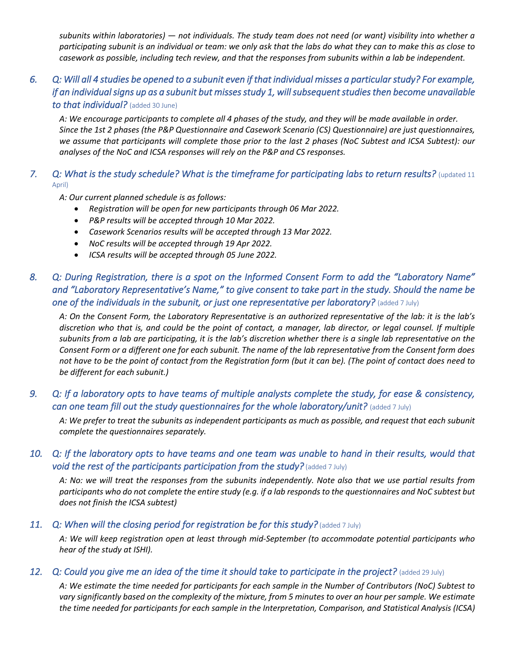*subunits within laboratories) — not individuals. The study team does not need (or want) visibility into whether a participating subunit is an individual or team: we only ask that the labs do what they can to make this as close to casework as possible, including tech review, and that the responses from subunits within a lab be independent.*

## *6. Q: Will all 4 studies be opened to a subunit even if that individual misses a particular study? For example, if an individual signs up as a subunit but misses study 1, will subsequent studies then become unavailable to that individual?* (added 30 June)

*A: We encourage participants to complete all 4 phases of the study, and they will be made available in order. Since the 1st 2 phases (the P&P Questionnaire and Casework Scenario (CS) Questionnaire) are just questionnaires,*  we assume that participants will complete those prior to the last 2 phases (NoC Subtest and ICSA Subtest): our *analyses of the NoC and ICSA responses will rely on the P&P and CS responses.*

#### *7. Q: What is the study schedule? What is the timeframe for participating labs to return results?* (updated 11 April)

*A: Our current planned schedule is as follows:*

- *Registration will be open for new participants through 06 Mar 2022.*
- *P&P results will be accepted through 10 Mar 2022.*
- *Casework Scenarios results will be accepted through 13 Mar 2022.*
- *NoC results will be accepted through 19 Apr 2022.*
- *ICSA results will be accepted through 05 June 2022.*

## *8. Q: During Registration, there is a spot on the Informed Consent Form to add the "Laboratory Name" and "Laboratory Representative's Name," to give consent to take part in the study. Should the name be one of the individuals in the subunit, or just one representative per laboratory? (added 7 July)*

*A: On the Consent Form, the Laboratory Representative is an authorized representative of the lab: it is the lab's discretion who that is, and could be the point of contact, a manager, lab director, or legal counsel. If multiple subunits from a lab are participating, it is the lab's discretion whether there is a single lab representative on the Consent Form or a different one for each subunit. The name of the lab representative from the Consent form does not have to be the point of contact from the Registration form (but it can be). (The point of contact does need to be different for each subunit.)*

## *9. Q: If a laboratory opts to have teams of multiple analysts complete the study, for ease & consistency, can one team fill out the study questionnaires for the whole laboratory/unit?* (added 7 July)

*A: We prefer to treat the subunits as independent participants as much as possible, and request that each subunit complete the questionnaires separately.* 

## *10. Q: If the laboratory opts to have teams and one team was unable to hand in their results, would that void the rest of the participants participation from the study?* (added 7 July)

*A: No: we will treat the responses from the subunits independently. Note also that we use partial results from participants who do not complete the entire study (e.g. if a lab responds to the questionnaires and NoC subtest but does not finish the ICSA subtest)*

#### 11. *Q: When will the closing period for registration be for this study?* (added 7 July)

*A: We will keep registration open at least through mid-September (to accommodate potential participants who hear of the study at ISHI).*

#### 12. *Q: Could you give me an idea of the time it should take to participate in the project?* (added 29 July)

*A: We estimate the time needed for participants for each sample in the Number of Contributors (NoC) Subtest to vary significantly based on the complexity of the mixture, from 5 minutes to over an hour per sample. We estimate the time needed for participants for each sample in the Interpretation, Comparison, and Statistical Analysis (ICSA)*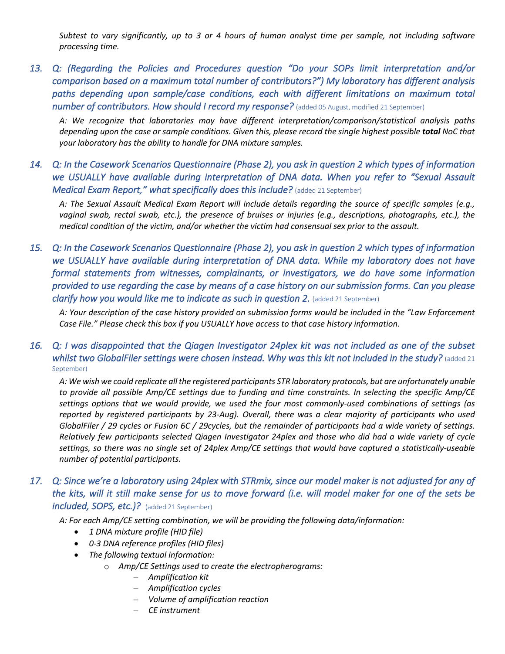*Subtest to vary significantly, up to 3 or 4 hours of human analyst time per sample, not including software processing time.*

*13. Q: (Regarding the Policies and Procedures question "Do your SOPs limit interpretation and/or comparison based on a maximum total number of contributors?") My laboratory has different analysis paths depending upon sample/case conditions, each with different limitations on maximum total number of contributors. How should I record my response?* (added 05 August, modified 21 September)

*A: We recognize that laboratories may have different interpretation/comparison/statistical analysis paths depending upon the case or sample conditions. Given this, please record the single highest possible total NoC that your laboratory has the ability to handle for DNA mixture samples.*

*14. Q: In the Casework Scenarios Questionnaire (Phase 2), you ask in question 2 which types of information we USUALLY have available during interpretation of DNA data. When you refer to "Sexual Assault Medical Exam Report," what specifically does this include?* (added 21 September)

*A: The Sexual Assault Medical Exam Report will include details regarding the source of specific samples (e.g., vaginal swab, rectal swab, etc.), the presence of bruises or injuries (e.g., descriptions, photographs, etc.), the medical condition of the victim, and/or whether the victim had consensual sex prior to the assault.*

*15. Q: In the Casework Scenarios Questionnaire (Phase 2), you ask in question 2 which types of information we USUALLY have available during interpretation of DNA data. While my laboratory does not have formal statements from witnesses, complainants, or investigators, we do have some information provided to use regarding the case by means of a case history on our submission forms. Can you please clarify how you would like me to indicate as such in question 2. (added 21 September)* 

*A: Your description of the case history provided on submission forms would be included in the "Law Enforcement Case File." Please check this box if you USUALLY have access to that case history information.*

## *16. Q: I was disappointed that the Qiagen Investigator 24plex kit was not included as one of the subset whilst two GlobalFiler settings were chosen instead. Why was this kit not included in the study?* (added 21 September)

*A: We wish we could replicate all the registered participants STR laboratory protocols, but are unfortunately unable to provide all possible Amp/CE settings due to funding and time constraints. In selecting the specific Amp/CE settings options that we would provide, we used the four most commonly-used combinations of settings (as reported by registered participants by 23-Aug). Overall, there was a clear majority of participants who used GlobalFiler / 29 cycles or Fusion 6C / 29cycles, but the remainder of participants had a wide variety of settings. Relatively few participants selected Qiagen Investigator 24plex and those who did had a wide variety of cycle settings, so there was no single set of 24plex Amp/CE settings that would have captured a statistically-useable number of potential participants.* 

## *17. Q: Since we're a laboratory using 24plex with STRmix, since our model maker is not adjusted for any of the kits, will it still make sense for us to move forward (i.e. will model maker for one of the sets be included, SOPS, etc.)?* (added 21 September)

*A: For each Amp/CE setting combination, we will be providing the following data/information:*

- *1 DNA mixture profile (HID file)*
- *0-3 DNA reference profiles (HID files)*
- *The following textual information:*
	- o *Amp/CE Settings used to create the electropherograms:*
		- *Amplification kit*
		- *Amplification cycles*
		- *Volume of amplification reaction*
		- *CE instrument*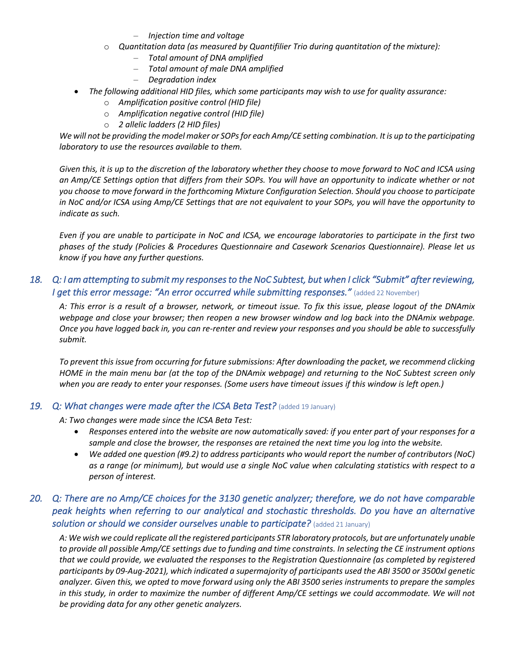- *Injection time and voltage*
- o *Quantitation data (as measured by Quantifilier Trio during quantitation of the mixture):*
	- *Total amount of DNA amplified*
	- *Total amount of male DNA amplified*
	- *Degradation index*
- *The following additional HID files, which some participants may wish to use for quality assurance:*
	- o *Amplification positive control (HID file)*
	- o *Amplification negative control (HID file)*
	- o *2 allelic ladders (2 HID files)*

We will not be providing the model maker or SOPs for each Amp/CE setting combination. It is up to the participating *laboratory to use the resources available to them.*

*Given this, it is up to the discretion of the laboratory whether they choose to move forward to NoC and ICSA using an Amp/CE Settings option that differs from their SOPs. You will have an opportunity to indicate whether or not you choose to move forward in the forthcoming Mixture Configuration Selection. Should you choose to participate in NoC and/or ICSA using Amp/CE Settings that are not equivalent to your SOPs, you will have the opportunity to indicate as such.*

*Even if you are unable to participate in NoC and ICSA, we encourage laboratories to participate in the first two phases of the study (Policies & Procedures Questionnaire and Casework Scenarios Questionnaire). Please let us know if you have any further questions.*

## *18. Q: I am attempting to submit my responses to the NoC Subtest, but when I click "Submit" after reviewing, I get this error message: "An error occurred while submitting responses."* (added 22 November)

*A: This error is a result of a browser, network, or timeout issue. To fix this issue, please logout of the DNAmix webpage and close your browser; then reopen a new browser window and log back into the DNAmix webpage. Once you have logged back in, you can re-renter and review your responses and you should be able to successfully submit.*

*To prevent this issue from occurring for future submissions: After downloading the packet, we recommend clicking HOME in the main menu bar (at the top of the DNAmix webpage) and returning to the NoC Subtest screen only when you are ready to enter your responses. (Some users have timeout issues if this window is left open.)*

#### *19. Q: What changes were made after the ICSA Beta Test?* (added 19 January)

*A: Two changes were made since the ICSA Beta Test:*

- *Responses entered into the website are now automatically saved: if you enter part of your responses for a sample and close the browser, the responses are retained the next time you log into the website.*
- *We added one question (#9.2) to address participants who would report the number of contributors (NoC) as a range (or minimum), but would use a single NoC value when calculating statistics with respect to a person of interest.*

## *20. Q: There are no Amp/CE choices for the 3130 genetic analyzer; therefore, we do not have comparable peak heights when referring to our analytical and stochastic thresholds. Do you have an alternative*  **solution or should we consider ourselves unable to participate?** (added 21 January)

*A: We wish we could replicate all the registered participants STR laboratory protocols, but are unfortunately unable to provide all possible Amp/CE settings due to funding and time constraints. In selecting the CE instrument options that we could provide, we evaluated the responses to the Registration Questionnaire (as completed by registered participants by 09-Aug-2021), which indicated a supermajority of participants used the ABI 3500 or 3500xl genetic analyzer. Given this, we opted to move forward using only the ABI 3500 series instruments to prepare the samples*  in this study, in order to maximize the number of different Amp/CE settings we could accommodate. We will not *be providing data for any other genetic analyzers.*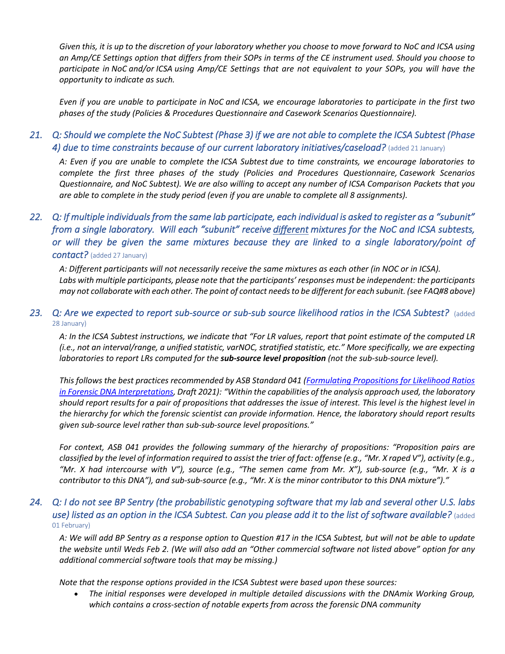*Given this, it is up to the discretion of your laboratory whether you choose to move forward to NoC and ICSA using an Amp/CE Settings option that differs from their SOPs in terms of the CE instrument used. Should you choose to participate in NoC and/or ICSA using Amp/CE Settings that are not equivalent to your SOPs, you will have the opportunity to indicate as such.*

*Even if you are unable to participate in NoC and ICSA, we encourage laboratories to participate in the first two phases of the study (Policies & Procedures Questionnaire and Casework Scenarios Questionnaire).*

## *21. Q: Should we complete the NoC Subtest (Phase 3) if we are not able to complete the ICSA Subtest (Phase 4) due to time constraints because of our current laboratory initiatives/caseload?* (added 21 January)

*A: Even if you are unable to complete the ICSA Subtest due to time constraints, we encourage laboratories to complete the first three phases of the study (Policies and Procedures Questionnaire, Casework Scenarios Questionnaire, and NoC Subtest). We are also willing to accept any number of ICSA Comparison Packets that you are able to complete in the study period (even if you are unable to complete all 8 assignments).*

## *22. Q: If multiple individuals from the same lab participate, each individual is asked to register as a "subunit" from a single laboratory. Will each "subunit" receive different mixtures for the NoC and ICSA subtests, or will they be given the same mixtures because they are linked to a single laboratory/point of contact?* (added 27 January)

*A: Different participants will not necessarily receive the same mixtures as each other (in NOC or in ICSA). Labs with multiple participants, please note that the participants' responses must be independent: the participants may not collaborate with each other. The point of contact needsto be different for each subunit. (see FAQ#8 above)*

#### 23. *Q: Are we expected to report sub-source or sub-sub source likelihood ratios in the ICSA Subtest?* (added 28 January)

*A: In the ICSA Subtest instructions, we indicate that "For LR values, report that point estimate of the computed LR (i.e., not an interval/range, a unified statistic, varNOC, stratified statistic, etc." More specifically, we are expecting laboratories to report LRs computed for the sub-source level proposition (not the sub-sub-source level).*

*This follows the best practices recommended by ASB Standard 041 (Formulating Propositions for Likelihood Ratios in Forensic DNA Interpretations, Draft 2021): "Within the capabilities of the analysis approach used, the laboratory should report results for a pair of propositions that addresses the issue of interest. This level is the highest level in the hierarchy for which the forensic scientist can provide information. Hence, the laboratory should report results given sub-source level rather than sub-sub-source level propositions."*

*For context, ASB 041 provides the following summary of the hierarchy of propositions: "Proposition pairs are classified by the level of information required to assist the trier of fact: offense (e.g., "Mr. X raped V"), activity (e.g., "Mr. X had intercourse with V"), source (e.g., "The semen came from Mr. X"), sub-source (e.g., "Mr. X is a contributor to this DNA"), and sub-sub-source (e.g., "Mr. X is the minor contributor to this DNA mixture")."*

## *24. Q: I do not see BP Sentry (the probabilistic genotyping software that my lab and several other U.S. labs use) listed as an option in the ICSA Subtest. Can you please add it to the list of software available?* (added 01 February)

*A: We will add BP Sentry as a response option to Question #17 in the ICSA Subtest, but will not be able to update the website until Weds Feb 2. (We will also add an "Other commercial software not listed above" option for any additional commercial software tools that may be missing.)*

*Note that the response options provided in the ICSA Subtest were based upon these sources:*

• *The initial responses were developed in multiple detailed discussions with the DNAmix Working Group, which contains a cross-section of notable experts from across the forensic DNA community*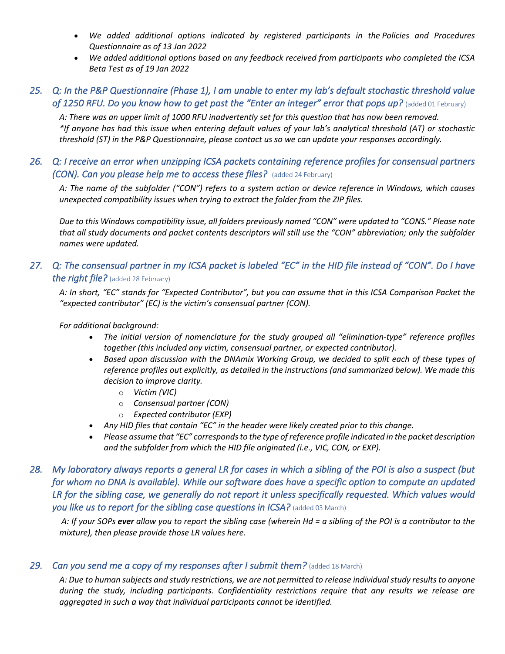- *We added additional options indicated by registered participants in the Policies and Procedures Questionnaire as of 13 Jan 2022*
- *We added additional options based on any feedback received from participants who completed the ICSA Beta Test as of 19 Jan 2022*

## *25. Q: In the P&P Questionnaire (Phase 1), I am unable to enter my lab's default stochastic threshold value*  of 1250 RFU. Do you know how to get past the "Enter an integer" error that pops up? (added 01 February)

*A: There was an upper limit of 1000 RFU inadvertently set for this question that has now been removed. \*If anyone has had this issue when entering default values of your lab's analytical threshold (AT) or stochastic threshold (ST) in the P&P Questionnaire, please contact us so we can update your responses accordingly.*

## *26. Q: I receive an error when unzipping ICSA packets containing reference profiles for consensual partners (CON). Can you please help me to access these files?* (added 24 February)

*A: The name of the subfolder ("CON") refers to a system action or device reference in Windows, which causes unexpected compatibility issues when trying to extract the folder from the ZIP files.*

*Due to this Windows compatibility issue, all folders previously named "CON" were updated to "CONS." Please note that all study documents and packet contents descriptors will still use the "CON" abbreviation; only the subfolder names were updated.*

## *27. Q: The consensual partner in my ICSA packet is labeled "EC" in the HID file instead of "CON". Do I have the right file?* (added 28 February)

*A: In short, "EC" stands for "Expected Contributor", but you can assume that in this ICSA Comparison Packet the "expected contributor" (EC) is the victim's consensual partner (CON).*

#### *For additional background:*

- *The initial version of nomenclature for the study grouped all "elimination-type" reference profiles together (this included any victim, consensual partner, or expected contributor).*
- *Based upon discussion with the DNAmix Working Group, we decided to split each of these types of reference profiles out explicitly, as detailed in the instructions (and summarized below). We made this decision to improve clarity.*
	- o *Victim (VIC)*
	- o *Consensual partner (CON)*
	- o *Expected contributor (EXP)*
- *Any HID files that contain "EC" in the header were likely created prior to this change.*
- *Please assume that "EC" corresponds to the type of reference profile indicated in the packet description and the subfolder from which the HID file originated (i.e., VIC, CON, or EXP).*

## *28. My laboratory always reports a general LR for cases in which a sibling of the POI is also a suspect (but for whom no DNA is available). While our software does have a specific option to compute an updated LR for the sibling case, we generally do not report it unless specifically requested. Which values would*  **you like us to report for the sibling case questions in ICSA?** (added 03 March)

*A: If your SOPs ever allow you to report the sibling case (wherein Hd = a sibling of the POI is a contributor to the mixture), then please provide those LR values here.*

#### 29. *Can you send me a copy of my responses after I submit them?* (added 18 March)

*A: Due to human subjects and study restrictions, we are not permitted to release individual study results to anyone during the study, including participants. Confidentiality restrictions require that any results we release are aggregated in such a way that individual participants cannot be identified.*